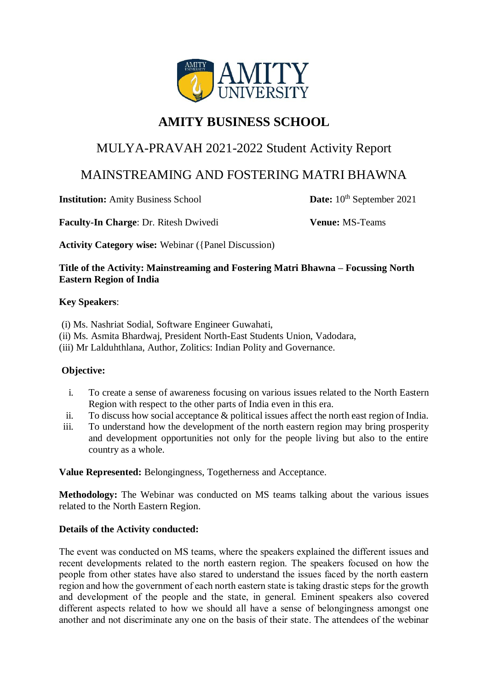

# **AMITY BUSINESS SCHOOL**

## MULYA-PRAVAH 2021-2022 Student Activity Report

### MAINSTREAMING AND FOSTERING MATRI BHAWNA

**Institution:** Amity Business School **Date:** 10<sup>th</sup> September 2021

**Faculty-In Charge**: Dr. Ritesh Dwivedi **Venue:** MS-Teams

**Activity Category wise:** Webinar ({Panel Discussion)

#### **Title of the Activity: Mainstreaming and Fostering Matri Bhawna – Focussing North Eastern Region of India**

#### **Key Speakers**:

- (i) Ms. Nashriat Sodial, Software Engineer Guwahati,
- (ii) Ms. Asmita Bhardwaj, President North-East Students Union, Vadodara,
- (iii) Mr Lalduhthlana, Author, Zolitics: Indian Polity and Governance.

### **Objective:**

- i. To create a sense of awareness focusing on various issues related to the North Eastern Region with respect to the other parts of India even in this era.
- ii. To discuss how social acceptance & political issues affect the north east region of India.
- iii. To understand how the development of the north eastern region may bring prosperity and development opportunities not only for the people living but also to the entire country as a whole.

**Value Represented:** Belongingness, Togetherness and Acceptance.

**Methodology:** The Webinar was conducted on MS teams talking about the various issues related to the North Eastern Region.

### **Details of the Activity conducted:**

The event was conducted on MS teams, where the speakers explained the different issues and recent developments related to the north eastern region. The speakers focused on how the people from other states have also stared to understand the issues faced by the north eastern region and how the government of each north eastern state is taking drastic steps for the growth and development of the people and the state, in general. Eminent speakers also covered different aspects related to how we should all have a sense of belongingness amongst one another and not discriminate any one on the basis of their state. The attendees of the webinar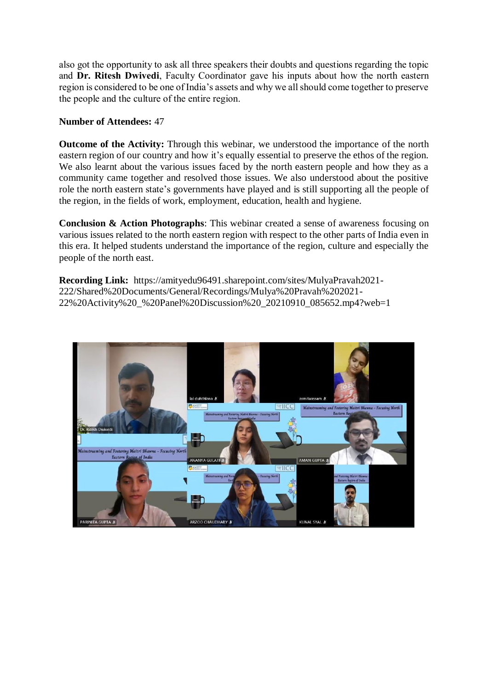also got the opportunity to ask all three speakers their doubts and questions regarding the topic and **Dr. Ritesh Dwivedi**, Faculty Coordinator gave his inputs about how the north eastern region is considered to be one of India's assets and why we all should come together to preserve the people and the culture of the entire region.

#### **Number of Attendees:** 47

**Outcome of the Activity:** Through this webinar, we understood the importance of the north eastern region of our country and how it's equally essential to preserve the ethos of the region. We also learnt about the various issues faced by the north eastern people and how they as a community came together and resolved those issues. We also understood about the positive role the north eastern state's governments have played and is still supporting all the people of the region, in the fields of work, employment, education, health and hygiene.

**Conclusion & Action Photographs**: This webinar created a sense of awareness focusing on various issues related to the north eastern region with respect to the other parts of India even in this era. It helped students understand the importance of the region, culture and especially the people of the north east.

**Recording Link:** https://amityedu96491.sharepoint.com/sites/MulyaPravah2021- 222/Shared%20Documents/General/Recordings/Mulya%20Pravah%202021- 22%20Activity%20\_%20Panel%20Discussion%20\_20210910\_085652.mp4?web=1

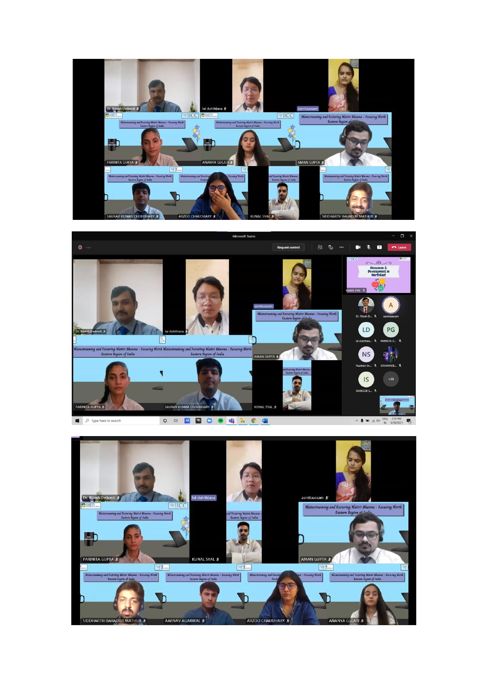



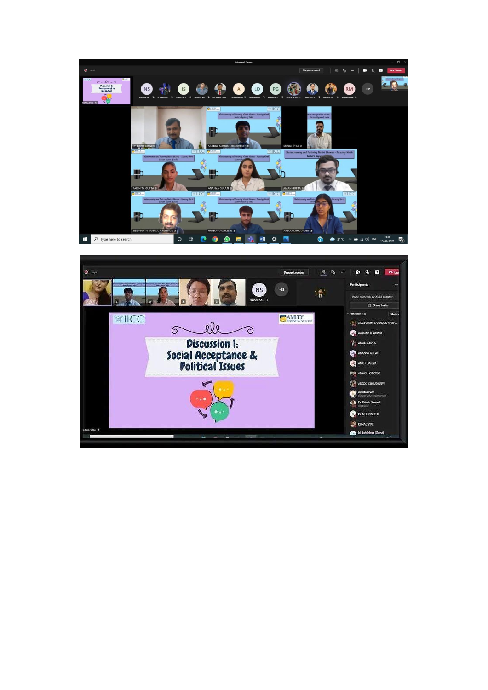